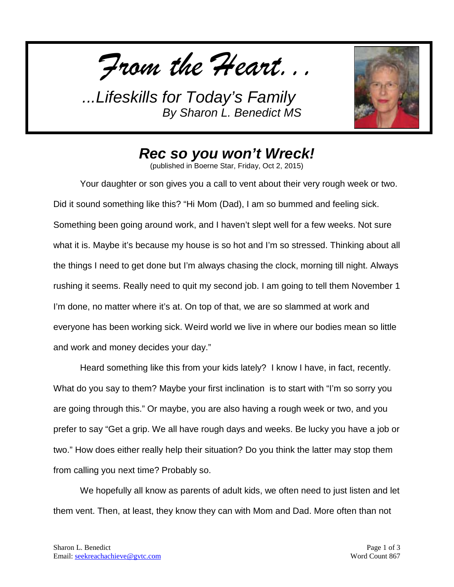*From the Heart...*



*Rec so you won't Wreck!*

(published in Boerne Star, Friday, Oct 2, 2015)

Your daughter or son gives you a call to vent about their very rough week or two. Did it sound something like this? "Hi Mom (Dad), I am so bummed and feeling sick. Something been going around work, and I haven't slept well for a few weeks. Not sure what it is. Maybe it's because my house is so hot and I'm so stressed. Thinking about all the things I need to get done but I'm always chasing the clock, morning till night. Always rushing it seems. Really need to quit my second job. I am going to tell them November 1 I'm done, no matter where it's at. On top of that, we are so slammed at work and everyone has been working sick. Weird world we live in where our bodies mean so little and work and money decides your day."

Heard something like this from your kids lately? I know I have, in fact, recently. What do you say to them? Maybe your first inclination is to start with "I'm so sorry you are going through this." Or maybe, you are also having a rough week or two, and you prefer to say "Get a grip. We all have rough days and weeks. Be lucky you have a job or two." How does either really help their situation? Do you think the latter may stop them from calling you next time? Probably so.

We hopefully all know as parents of adult kids, we often need to just listen and let them vent. Then, at least, they know they can with Mom and Dad. More often than not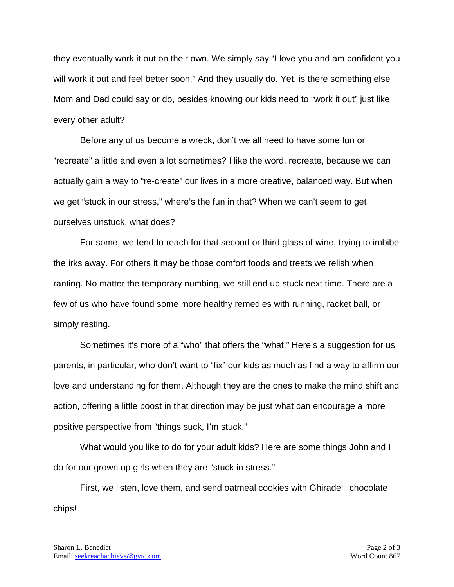they eventually work it out on their own. We simply say "I love you and am confident you will work it out and feel better soon." And they usually do. Yet, is there something else Mom and Dad could say or do, besides knowing our kids need to "work it out" just like every other adult?

Before any of us become a wreck, don't we all need to have some fun or "recreate" a little and even a lot sometimes? I like the word, recreate, because we can actually gain a way to "re-create" our lives in a more creative, balanced way. But when we get "stuck in our stress," where's the fun in that? When we can't seem to get ourselves unstuck, what does?

For some, we tend to reach for that second or third glass of wine, trying to imbibe the irks away. For others it may be those comfort foods and treats we relish when ranting. No matter the temporary numbing, we still end up stuck next time. There are a few of us who have found some more healthy remedies with running, racket ball, or simply resting.

Sometimes it's more of a "who" that offers the "what." Here's a suggestion for us parents, in particular, who don't want to "fix" our kids as much as find a way to affirm our love and understanding for them. Although they are the ones to make the mind shift and action, offering a little boost in that direction may be just what can encourage a more positive perspective from "things suck, I'm stuck."

What would you like to do for your adult kids? Here are some things John and I do for our grown up girls when they are "stuck in stress."

First, we listen, love them, and send oatmeal cookies with Ghiradelli chocolate chips!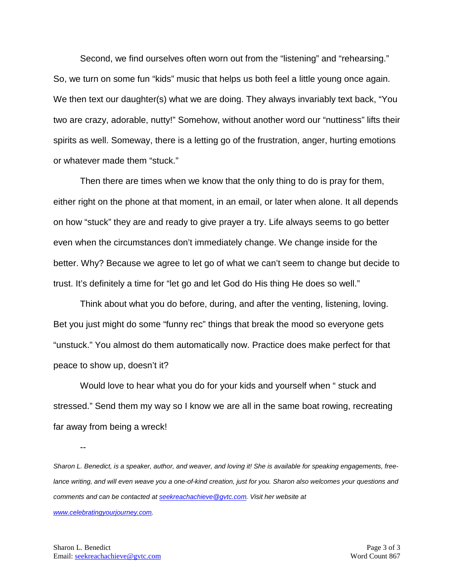Second, we find ourselves often worn out from the "listening" and "rehearsing." So, we turn on some fun "kids" music that helps us both feel a little young once again. We then text our daughter(s) what we are doing. They always invariably text back, "You two are crazy, adorable, nutty!" Somehow, without another word our "nuttiness" lifts their spirits as well. Someway, there is a letting go of the frustration, anger, hurting emotions or whatever made them "stuck."

Then there are times when we know that the only thing to do is pray for them, either right on the phone at that moment, in an email, or later when alone. It all depends on how "stuck" they are and ready to give prayer a try. Life always seems to go better even when the circumstances don't immediately change. We change inside for the better. Why? Because we agree to let go of what we can't seem to change but decide to trust. It's definitely a time for "let go and let God do His thing He does so well."

Think about what you do before, during, and after the venting, listening, loving. Bet you just might do some "funny rec" things that break the mood so everyone gets "unstuck." You almost do them automatically now. Practice does make perfect for that peace to show up, doesn't it?

Would love to hear what you do for your kids and yourself when " stuck and stressed." Send them my way so I know we are all in the same boat rowing, recreating far away from being a wreck!

--

*Sharon L. Benedict, is a speaker, author, and weaver, and loving it! She is available for speaking engagements, freelance writing, and will even weave you a one-of-kind creation, just for you. Sharon also welcomes your questions and comments and can be contacted a[t seekreachachieve@gvtc.com.](mailto:seekreachachieve@gvtc.com) Visit her website at* 

*[www.celebratingyourjourney.com.](http://www.celebratingyourjourney.com/)*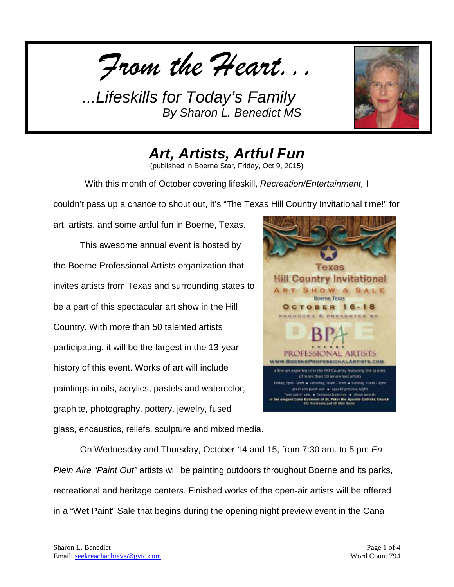*From the Heart...*



*Art, Artists, Artful Fun*

(published in Boerne Star, Friday, Oct 9, 2015)

With this month of October covering lifeskill, *Recreation/Entertainment,* I

couldn't pass up a chance to shout out, it's "The Texas Hill Country Invitational time!" for

art, artists, and some artful fun in Boerne, Texas. This awesome annual event is hosted by the Boerne Professional Artists organization that invites artists from Texas and surrounding states to be a part of this spectacular art show in the Hill Country. With more than 50 talented artists participating, it will be the largest in the 13-year history of this event. Works of art will include paintings in oils, acrylics, pastels and watercolor; graphite, photography, pottery, jewelry, fused



glass, encaustics, reliefs, sculpture and mixed media.

On Wednesday and Thursday, October 14 and 15, from 7:30 am. to 5 pm *En Plein Aire "Paint Out"* artists will be painting outdoors throughout Boerne and its parks, recreational and heritage centers. Finished works of the open-air artists will be offered in a "Wet Paint" Sale that begins during the opening night preview event in the Cana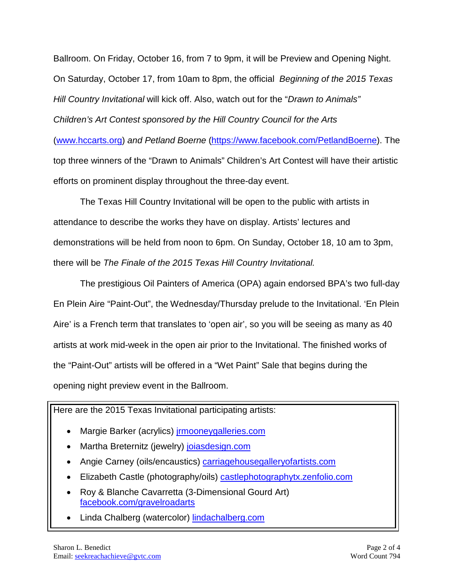Ballroom. On Friday, October 16, from 7 to 9pm, it will be Preview and Opening Night. On Saturday, October 17, from 10am to 8pm, the official *Beginning of the 2015 Texas Hill Country Invitational* will kick off. Also, watch out for the "*Drawn to Animals" Children's Art Contest sponsored by the Hill Country Council for the Arts* [\(www.hccarts.org\)](http://www.hccarts.org/) *and Petland Boerne* [\(https://www.facebook.com/PetlandBoerne\)](https://www.facebook.com/PetlandBoerne). The top three winners of the "Drawn to Animals" Children's Art Contest will have their artistic efforts on prominent display throughout the three-day event.

The Texas Hill Country Invitational will be open to the public with artists in attendance to describe the works they have on display. Artists' lectures and demonstrations will be held from noon to 6pm. On Sunday, October 18, 10 am to 3pm, there will be *The Finale of the 2015 Texas Hill Country Invitational.* 

The prestigious Oil Painters of America (OPA) again endorsed BPA's two full-day En Plein Aire "Paint-Out", the Wednesday/Thursday prelude to the Invitational. 'En Plein Aire' is a French term that translates to 'open air', so you will be seeing as many as 40 artists at work mid-week in the open air prior to the Invitational. The finished works of the "Paint-Out" artists will be offered in a "Wet Paint" Sale that begins during the opening night preview event in the Ballroom.

Here are the 2015 Texas Invitational participating artists:

- Margie Barker (acrylics) *irmooneygalleries.com*
- Martha Breternitz (jewelry) [joiasdesign.com](http://joiasdesign.com/)
- Angie Carney (oils/encaustics) carriagehousegallery of artists.com
- Elizabeth Castle (photography/oils) [castlephotographytx.zenfolio.com](http://castlephotographytx.zenfolio.com/)
- Roy & Blanche Cavarretta (3-Dimensional Gourd Art) [facebook.com/gravelroadarts](http://facebook.com/gravelroadarts)
- Linda Chalberg (watercolor) [lindachalberg.com](http://lindachalberg.com/)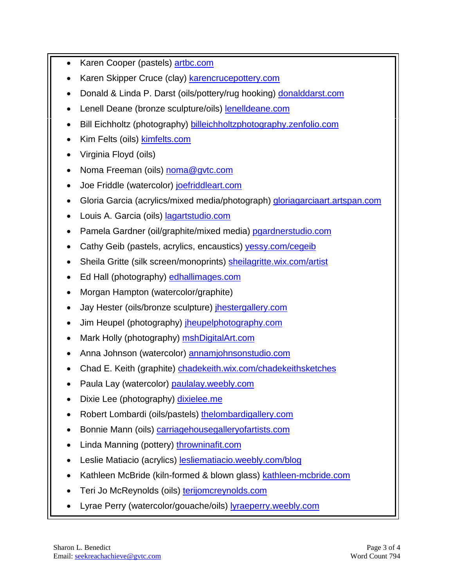- Karen Cooper (pastels) [artbc.com](http://artbc.com/)
- Karen Skipper Cruce (clay) [karencrucepottery.com](http://karencrucepottery.com/)
- Donald & Linda P. Darst (oils/pottery/rug hooking) [donalddarst.com](http://donalddarst.com/)
- Lenell Deane (bronze sculpture/oils) [lenelldeane.com](http://lenelldeane.com/)
- Bill Eichholtz (photography) [billeichholtzphotography.zenfolio.com](http://billeichholtzphotography.zenfolio.com/)
- Kim Felts (oils) **kimfelts.com**
- Virginia Floyd (oils)
- Noma Freeman (oils) [noma@gvtc.com](mailto:noma@gvtc.com)
- Joe Friddle (watercolor) [joefriddleart.com](http://joefriddleart.com/)
- Gloria Garcia (acrylics/mixed media/photograph) [gloriagarciaart.artspan.com](http://gloriagarciaart.artspan.com/)
- Louis A. Garcia (oils) [lagartstudio.com](http://lagartstudio.com/)
- Pamela Gardner (oil/graphite/mixed media) [pgardnerstudio.com](http://pgardnerstudio.com/)
- Cathy Geib (pastels, acrylics, encaustics) [yessy.com/cegeib](http://yessy.com/cegeib)
- Sheila Gritte (silk screen/monoprints) [sheilagritte.wix.com/artist](http://sheilagritte.wix.com/artist)
- Ed Hall (photography) [edhallimages.com](http://edhallimages.com/)
- Morgan Hampton (watercolor/graphite)
- Jay Hester (oils/bronze sculpture) [jhestergallery.com](http://jhestergallery.com/)
- Jim Heupel (photography) [jheupelphotography.com](http://jheupelphotography.com/)
- Mark Holly (photography) [mshDigitalArt.com](http://mshdigitalart.com/)
- Anna Johnson (watercolor) annamiohnsonstudio.com
- Chad E. Keith (graphite) [chadekeith.wix.com/chadekeithsketches](http://chadekeith.wix.com/chadekeithsketches)
- Paula Lay (watercolor) [paulalay.weebly.com](http://paulalay.weebly.com/)
- Dixie Lee (photography) [dixielee.me](http://dixielee.me/)
- Robert Lombardi (oils/pastels) [thelombardigallery.com](http://thelombardigallery.com/)
- Bonnie Mann (oils) [carriagehousegalleryofartists.com](http://carriagehousegalleryofartists.com/)
- Linda Manning (pottery) [throwninafit.com](http://throwninafit.com/)
- Leslie Matiacio (acrylics) [lesliematiacio.weebly.com/blog](http://lesliematiacio.weebly.com/blog)
- Kathleen McBride (kiln-formed & blown glass) [kathleen-mcbride.com](http://kathleen-mcbride.com/)
- Teri Jo McReynolds (oils) [terijomcreynolds.com](http://terijomcreynolds.com/)
- Lyrae Perry (watercolor/gouache/oils) [lyraeperry.weebly.com](http://lyraeperry.weebly.com/)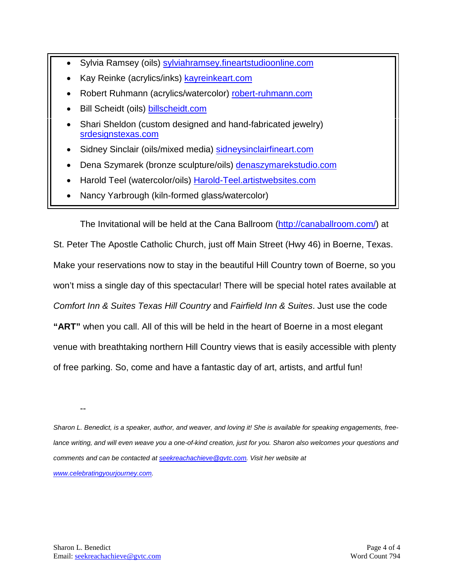- Sylvia Ramsey (oils) [sylviahramsey.fineartstudioonline.com](http://sylviahramsey.fineartstudioonline.com/)
- Kay Reinke (acrylics/inks) [kayreinkeart.com](http://kayreinkeart.com/)
- Robert Ruhmann (acrylics/watercolor) [robert-ruhmann.com](http://robert-ruhmann.com/)
- Bill Scheidt (oils) [billscheidt.com](http://billscheidt.com/)
- Shari Sheldon (custom designed and hand-fabricated jewelry) [srdesignstexas.com](http://srdesignstexas.com/)
- Sidney Sinclair (oils/mixed media) [sidneysinclairfineart.com](http://sidneysinclairfineart.com/)
- Dena Szymarek (bronze sculpture/oils) [denaszymarekstudio.com](http://denaszymarekstudio.com/)
- Harold Teel (watercolor/oils) [Harold-Teel.artistwebsites.com](http://harold-teel.artistwebsites.com/)
- Nancy Yarbrough (kiln-formed glass/watercolor)

The Invitational will be held at the Cana Ballroom [\(http://canaballroom.com/\)](http://canaballroom.com/) at

St. Peter The Apostle Catholic Church, just off Main Street (Hwy 46) in Boerne, Texas. Make your reservations now to stay in the beautiful Hill Country town of Boerne, so you won't miss a single day of this spectacular! There will be special hotel rates available at *Comfort Inn & Suites Texas Hill Country* and *Fairfield Inn & Suites*. Just use the code **"ART"** when you call. All of this will be held in the heart of Boerne in a most elegant venue with breathtaking northern Hill Country views that is easily accessible with plenty of free parking. So, come and have a fantastic day of art, artists, and artful fun!

--

*Sharon L. Benedict, is a speaker, author, and weaver, and loving it! She is available for speaking engagements, free*lance writing, and will even weave you a one-of-kind creation, just for you. Sharon also welcomes your questions and *comments and can be contacted a[t seekreachachieve@gvtc.com.](mailto:seekreachachieve@gvtc.com) Visit her website at [www.celebratingyourjourney.com.](http://www.celebratingyourjourney.com/)*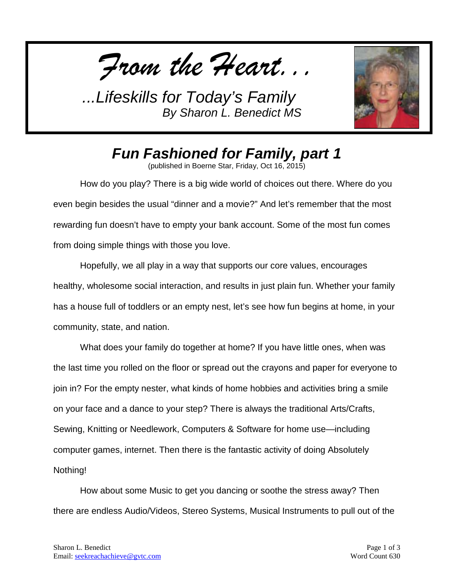*From the Heart...*



*Fun Fashioned for Family, part 1*

(published in Boerne Star, Friday, Oct 16, 2015)

How do you play? There is a big wide world of choices out there. Where do you even begin besides the usual "dinner and a movie?" And let's remember that the most rewarding fun doesn't have to empty your bank account. Some of the most fun comes from doing simple things with those you love.

Hopefully, we all play in a way that supports our core values, encourages healthy, wholesome social interaction, and results in just plain fun. Whether your family has a house full of toddlers or an empty nest, let's see how fun begins at home, in your community, state, and nation.

What does your family do together at home? If you have little ones, when was the last time you rolled on the floor or spread out the crayons and paper for everyone to join in? For the empty nester, what kinds of home hobbies and activities bring a smile on your face and a dance to your step? There is always the traditional Arts/Crafts, Sewing, Knitting or Needlework, Computers & Software for home use—including computer games, internet. Then there is the fantastic activity of doing Absolutely Nothing!

How about some Music to get you dancing or soothe the stress away? Then there are endless Audio/Videos, Stereo Systems, Musical Instruments to pull out of the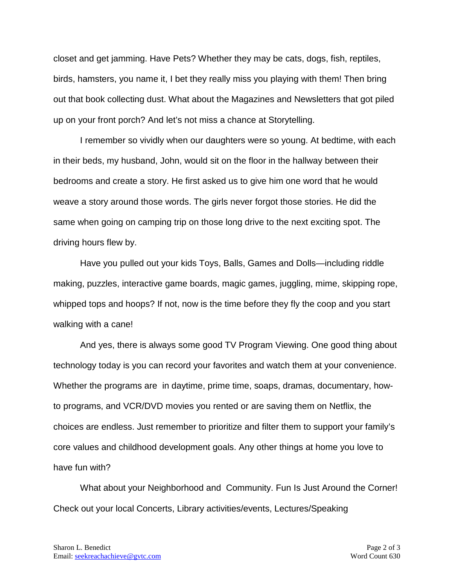closet and get jamming. Have Pets? Whether they may be cats, dogs, fish, reptiles, birds, hamsters, you name it, I bet they really miss you playing with them! Then bring out that book collecting dust. What about the Magazines and Newsletters that got piled up on your front porch? And let's not miss a chance at Storytelling.

I remember so vividly when our daughters were so young. At bedtime, with each in their beds, my husband, John, would sit on the floor in the hallway between their bedrooms and create a story. He first asked us to give him one word that he would weave a story around those words. The girls never forgot those stories. He did the same when going on camping trip on those long drive to the next exciting spot. The driving hours flew by.

Have you pulled out your kids Toys, Balls, Games and Dolls—including riddle making, puzzles, interactive game boards, magic games, juggling, mime, skipping rope, whipped tops and hoops? If not, now is the time before they fly the coop and you start walking with a cane!

And yes, there is always some good TV Program Viewing. One good thing about technology today is you can record your favorites and watch them at your convenience. Whether the programs are in daytime, prime time, soaps, dramas, documentary, howto programs, and VCR/DVD movies you rented or are saving them on Netflix, the choices are endless. Just remember to prioritize and filter them to support your family's core values and childhood development goals. Any other things at home you love to have fun with?

What about your Neighborhood and Community. Fun Is Just Around the Corner! Check out your local Concerts, Library activities/events, Lectures/Speaking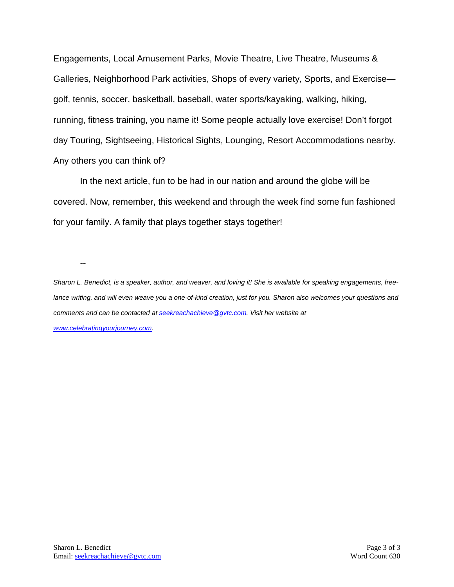Engagements, Local Amusement Parks, Movie Theatre, Live Theatre, Museums & Galleries, Neighborhood Park activities, Shops of every variety, Sports, and Exercise golf, tennis, soccer, basketball, baseball, water sports/kayaking, walking, hiking, running, fitness training, you name it! Some people actually love exercise! Don't forgot day Touring, Sightseeing, Historical Sights, Lounging, Resort Accommodations nearby. Any others you can think of?

In the next article, fun to be had in our nation and around the globe will be covered. Now, remember, this weekend and through the week find some fun fashioned for your family. A family that plays together stays together!

--

*Sharon L. Benedict, is a speaker, author, and weaver, and loving it! She is available for speaking engagements, freelance writing, and will even weave you a one-of-kind creation, just for you. Sharon also welcomes your questions and comments and can be contacted a[t seekreachachieve@gvtc.com.](mailto:seekreachachieve@gvtc.com) Visit her website at [www.celebratingyourjourney.com.](http://www.celebratingyourjourney.com/)*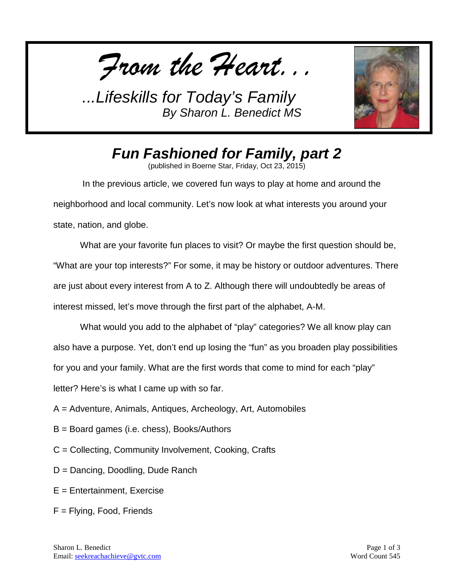*From the Heart...*



*Fun Fashioned for Family, part 2*

(published in Boerne Star, Friday, Oct 23, 2015)

In the previous article, we covered fun ways to play at home and around the neighborhood and local community. Let's now look at what interests you around your state, nation, and globe.

What are your favorite fun places to visit? Or maybe the first question should be, "What are your top interests?" For some, it may be history or outdoor adventures. There are just about every interest from A to Z. Although there will undoubtedly be areas of interest missed, let's move through the first part of the alphabet, A-M.

What would you add to the alphabet of "play" categories? We all know play can also have a purpose. Yet, don't end up losing the "fun" as you broaden play possibilities for you and your family. What are the first words that come to mind for each "play" letter? Here's is what I came up with so far.

- A = Adventure, Animals, Antiques, Archeology, Art, Automobiles
- B = Board games (i.e. chess), Books/Authors
- C = Collecting, Community Involvement, Cooking, Crafts
- D = Dancing, Doodling, Dude Ranch
- E = Entertainment, Exercise
- F = Flying, Food, Friends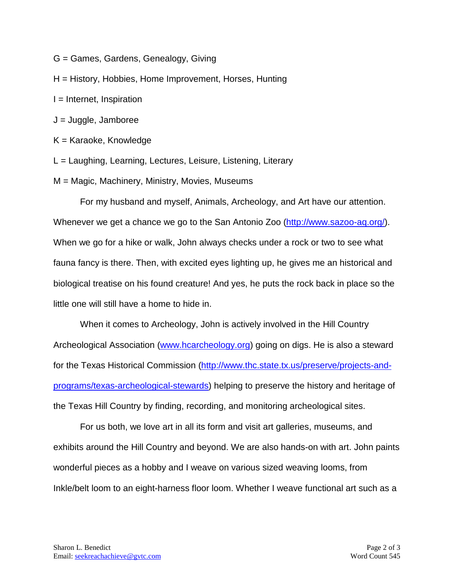- G = Games, Gardens, Genealogy, Giving
- H = History, Hobbies, Home Improvement, Horses, Hunting
- $I =$  Internet, Inspiration
- J = Juggle, Jamboree
- K = Karaoke, Knowledge
- L = Laughing, Learning, Lectures, Leisure, Listening, Literary
- M = Magic, Machinery, Ministry, Movies, Museums

For my husband and myself, Animals, Archeology, and Art have our attention. Whenever we get a chance we go to the San Antonio Zoo [\(http://www.sazoo-aq.org/\)](http://www.sazoo-aq.org/). When we go for a hike or walk, John always checks under a rock or two to see what fauna fancy is there. Then, with excited eyes lighting up, he gives me an historical and biological treatise on his found creature! And yes, he puts the rock back in place so the little one will still have a home to hide in.

When it comes to Archeology, John is actively involved in the Hill Country Archeological Association [\(www.hcarcheology.org\)](http://www.hcarcheology.org/) going on digs. He is also a steward for the Texas Historical Commission [\(http://www.thc.state.tx.us/preserve/projects-and](http://www.thc.state.tx.us/preserve/projects-and-programs/texas-archeological-stewards)[programs/texas-archeological-stewards\)](http://www.thc.state.tx.us/preserve/projects-and-programs/texas-archeological-stewards) helping to preserve the history and heritage of the Texas Hill Country by finding, recording, and monitoring archeological sites.

For us both, we love art in all its form and visit art galleries, museums, and exhibits around the Hill Country and beyond. We are also hands-on with art. John paints wonderful pieces as a hobby and I weave on various sized weaving looms, from Inkle/belt loom to an eight-harness floor loom. Whether I weave functional art such as a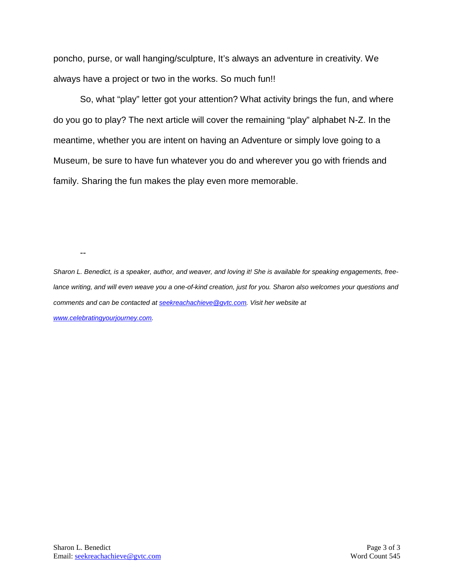poncho, purse, or wall hanging/sculpture, It's always an adventure in creativity. We always have a project or two in the works. So much fun!!

So, what "play" letter got your attention? What activity brings the fun, and where do you go to play? The next article will cover the remaining "play" alphabet N-Z. In the meantime, whether you are intent on having an Adventure or simply love going to a Museum, be sure to have fun whatever you do and wherever you go with friends and family. Sharing the fun makes the play even more memorable.

--

*Sharon L. Benedict, is a speaker, author, and weaver, and loving it! She is available for speaking engagements, freelance writing, and will even weave you a one-of-kind creation, just for you. Sharon also welcomes your questions and comments and can be contacted a[t seekreachachieve@gvtc.com.](mailto:seekreachachieve@gvtc.com) Visit her website at [www.celebratingyourjourney.com.](http://www.celebratingyourjourney.com/)*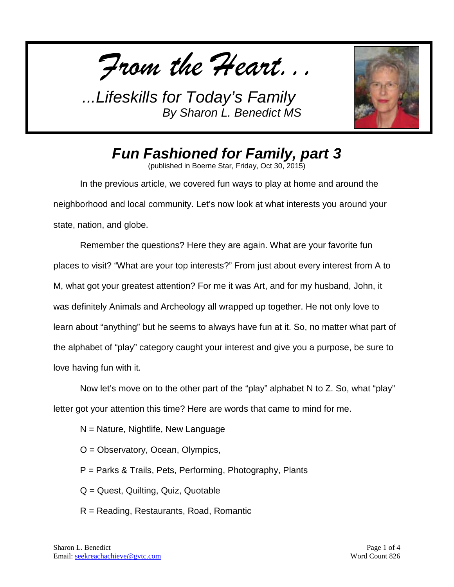*From the Heart...*



*Fun Fashioned for Family, part 3*

(published in Boerne Star, Friday, Oct 30, 2015)

In the previous article, we covered fun ways to play at home and around the neighborhood and local community. Let's now look at what interests you around your state, nation, and globe.

Remember the questions? Here they are again. What are your favorite fun places to visit? "What are your top interests?" From just about every interest from A to M, what got your greatest attention? For me it was Art, and for my husband, John, it was definitely Animals and Archeology all wrapped up together. He not only love to learn about "anything" but he seems to always have fun at it. So, no matter what part of the alphabet of "play" category caught your interest and give you a purpose, be sure to love having fun with it.

Now let's move on to the other part of the "play" alphabet N to Z. So, what "play" letter got your attention this time? Here are words that came to mind for me.

 $N =$  Nature, Nightlife, New Language

O = Observatory, Ocean, Olympics,

P = Parks & Trails, Pets, Performing, Photography, Plants

Q = Quest, Quilting, Quiz, Quotable

R = Reading, Restaurants, Road, Romantic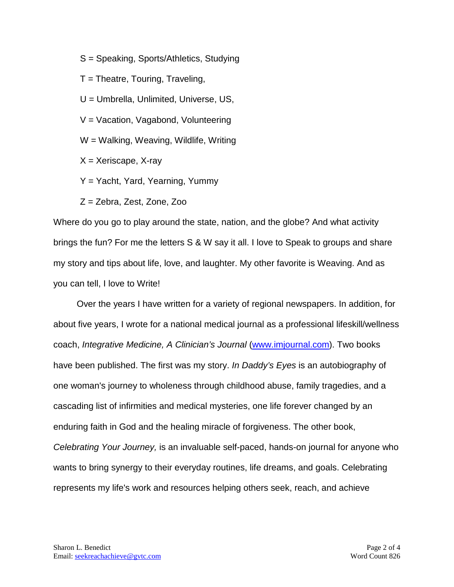S = Speaking, Sports/Athletics, Studying

 $T =$  Theatre, Touring, Traveling,

U = Umbrella, Unlimited, Universe, US,

V = Vacation, Vagabond, Volunteering

W = Walking, Weaving, Wildlife, Writing

 $X = X$ eriscape, X-ray

Y = Yacht, Yard, Yearning, Yummy

Z = Zebra, Zest, Zone, Zoo

Where do you go to play around the state, nation, and the globe? And what activity brings the fun? For me the letters S & W say it all. I love to Speak to groups and share my story and tips about life, love, and laughter. My other favorite is Weaving. And as you can tell, I love to Write!

Over the years I have written for a variety of regional newspapers. In addition, for about five years, I wrote for a national medical journal as a professional lifeskill/wellness coach, *Integrative Medicine, A Clinician's Journal* [\(www.imjournal.com\)](http://www.imjournal.com/). Two books have been published. The first was my story. *In Daddy's Eyes* is an autobiography of one woman's journey to wholeness through childhood abuse, family tragedies, and a cascading list of infirmities and medical mysteries, one life forever changed by an enduring faith in God and the healing miracle of forgiveness. The other book, *Celebrating Your Journey,* is an invaluable self-paced, hands-on journal for anyone who wants to bring synergy to their everyday routines, life dreams, and goals. Celebrating represents my life's work and resources helping others seek, reach, and achieve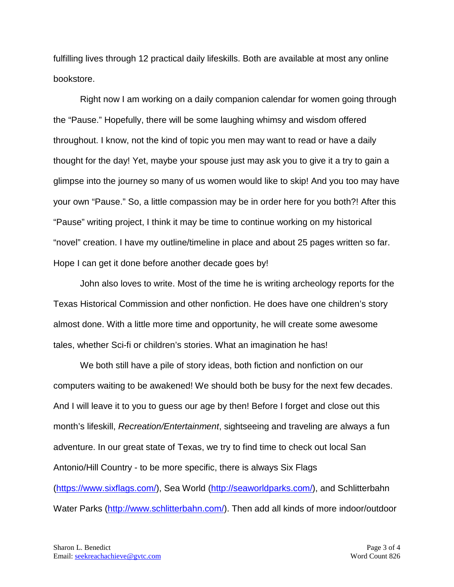fulfilling lives through 12 practical daily lifeskills. Both are available at most any online bookstore.

Right now I am working on a daily companion calendar for women going through the "Pause." Hopefully, there will be some laughing whimsy and wisdom offered throughout. I know, not the kind of topic you men may want to read or have a daily thought for the day! Yet, maybe your spouse just may ask you to give it a try to gain a glimpse into the journey so many of us women would like to skip! And you too may have your own "Pause." So, a little compassion may be in order here for you both?! After this "Pause" writing project, I think it may be time to continue working on my historical "novel" creation. I have my outline/timeline in place and about 25 pages written so far. Hope I can get it done before another decade goes by!

John also loves to write. Most of the time he is writing archeology reports for the Texas Historical Commission and other nonfiction. He does have one children's story almost done. With a little more time and opportunity, he will create some awesome tales, whether Sci-fi or children's stories. What an imagination he has!

We both still have a pile of story ideas, both fiction and nonfiction on our computers waiting to be awakened! We should both be busy for the next few decades. And I will leave it to you to guess our age by then! Before I forget and close out this month's lifeskill, *Recreation/Entertainment*, sightseeing and traveling are always a fun adventure. In our great state of Texas, we try to find time to check out local San Antonio/Hill Country - to be more specific, there is always Six Flags [\(https://www.sixflags.com/\)](https://www.sixflags.com/), Sea World [\(http://seaworldparks.com/\)](http://seaworldparks.com/), and Schlitterbahn Water Parks [\(http://www.schlitterbahn.com/\)](http://www.schlitterbahn.com/). Then add all kinds of more indoor/outdoor